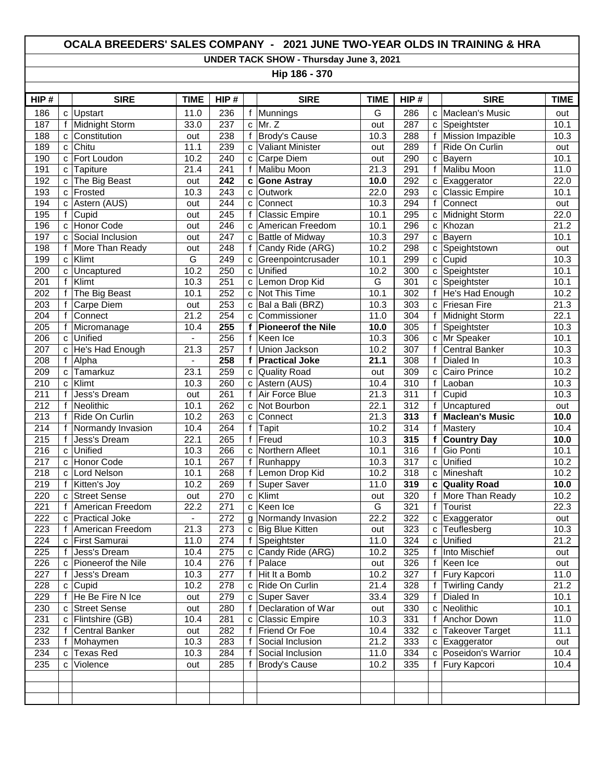## **OCALA BREEDERS' SALES COMPANY - 2021 JUNE TWO-YEAR OLDS IN TRAINING & HRA**

**UNDER TACK SHOW - Thursday June 3, 2021**

**Hip 186 - 370**

| HIP#             |              | <b>SIRE</b>         | <b>TIME</b>    | HIP#             |                | <b>SIRE</b>               | <b>TIME</b>             | HIP#             |                | <b>SIRE</b>              | <b>TIME</b>       |
|------------------|--------------|---------------------|----------------|------------------|----------------|---------------------------|-------------------------|------------------|----------------|--------------------------|-------------------|
| 186              | C            | Upstart             | 11.0           | 236              |                | f Munnings                | G                       | 286              | C              | Maclean's Music          | out               |
| 187              | f            | Midnight Storm      | 33.0           | 237              | $\mathbf{C}$   | Mr. Z                     | out                     | 287              | C              | Speightster              | 10.1              |
| 188              | C            | Constitution        | out            | 238              | $\mathsf{f}$   | <b>Brody's Cause</b>      | 10.3                    | 288              | $\mathsf{f}$   | <b>Mission Impazible</b> | 10.3              |
| 189              | C            | Chitu               | 11.1           | 239              | C              | <b>Valiant Minister</b>   | out                     | 289              | f              | Ride On Curlin           | out               |
| 190              | C            | Fort Loudon         | 10.2           | 240              | C              | Carpe Diem                | out                     | 290              | $\mathbf{C}$   | Bayern                   | 10.1              |
| 191              | C            | Tapiture            | 21.4           | $\overline{241}$ | f              | <b>Malibu Moon</b>        | 21.3                    | 291              | f              | <b>Malibu Moon</b>       | $\overline{11.0}$ |
| 192              | C            | The Big Beast       | out            | 242              | $\mathbf c$    | <b>Gone Astray</b>        | 10.0                    | 292              | $\mathbf c$    | Exaggerator              | 22.0              |
| 193              | C            | Frosted             | 10.3           | 243              | $\mathbf{C}$   | Outwork                   | 22.0                    | 293              | C              | <b>Classic Empire</b>    | 10.1              |
| 194              | C            | Astern (AUS)        | out            | 244              | C              | Connect                   | 10.3                    | 294              | f              | Connect                  | out               |
| 195              | f            | Cupid               | out            | 245              | f              | <b>Classic Empire</b>     | 10.1                    | 295              | $\mathbf{C}$   | Midnight Storm           | 22.0              |
| 196              | C            | Honor Code          | out            | 246              | $\mathbf{C}$   | American Freedom          | 10.1                    | 296              | C              | Khozan                   | 21.2              |
| 197              | C            | Social Inclusion    | out            | 247              | $\mathbf{C}$   | <b>Battle of Midway</b>   | 10.3                    | 297              | $\mathbf{C}$   | Bayern                   | 10.1              |
| 198              | f            | More Than Ready     | out            | 248              | $\mathbf{f}$   | Candy Ride (ARG)          | 10.2                    | 298              | C              | Speightstown             | out               |
| 199              | $\mathbf c$  | Klimt               | G              | 249              | $\mathbf{C}$   | Greenpointcrusader        | 10.1                    | 299              | $\mathbf{C}$   | Cupid                    | 10.3              |
| 200              | C            | Uncaptured          | 10.2           | 250              | $\mathbf{C}$   | Unified                   | 10.2                    | 300              | C              | Speightster              | 10.1              |
| 201              | f            | Klimt               | 10.3           | 251              | $\mathbf{C}$   | Lemon Drop Kid            | $\overline{\mathsf{G}}$ | 301              | $\mathbf{C}$   | Speightster              | 10.1              |
| 202              | f            | The Big Beast       | 10.1           | 252              | $\mathbf{C}$   | Not This Time             | 10.1                    | 302              | f              | He's Had Enough          | 10.2              |
| 203              | $\mathbf{f}$ | Carpe Diem          | out            | 253              | c              | Bal a Bali (BRZ)          | 10.3                    | 303              | $\mathbf{C}$   | Friesan Fire             | 21.3              |
| 204              | f            | Connect             | 21.2           | 254              | c              | Commissioner              | 11.0                    | 304              | f              | Midnight Storm           | 22.1              |
| 205              | f            | Micromanage         | 10.4           | 255              | f              | <b>Pioneerof the Nile</b> | 10.0                    | 305              | $\overline{f}$ | Speightster              | 10.3              |
| 206              | C            | Unified             | $\blacksquare$ | 256              | f              | Keen Ice                  | 10.3                    | 306              | $\mathbf{C}$   | Mr Speaker               | 10.1              |
| 207              | C            | He's Had Enough     | 21.3           | 257              | f              | Union Jackson             | 10.2                    | 307              | f              | <b>Central Banker</b>    | 10.3              |
| $\overline{208}$ | $\mathsf{f}$ | Alpha               | ä,             | 258              | f              | <b>Practical Joke</b>     | 21.1                    | $\overline{308}$ | $\mathsf{f}$   | Dialed In                | 10.3              |
| 209              | $\mathbf{C}$ | Tamarkuz            | 23.1           | 259              | C              | Quality Road              | out                     | 309              | C              | Cairo Prince             | 10.2              |
| 210              | $\mathbf{C}$ | Klimt               | 10.3           | 260              | C              | Astern (AUS)              | 10.4                    | 310              | $\mathsf{f}$   | Laoban                   | 10.3              |
| $\overline{211}$ | f            | Jess's Dream        | out            | 261              | f              | <b>Air Force Blue</b>     | $\overline{21.3}$       | $\overline{311}$ | f              | Cupid                    | 10.3              |
| 212              | f            | Neolithic           | 10.1           | 262              | c              | Not Bourbon               | 22.1                    | 312              | $\mathbf{f}$   | Uncaptured               | out               |
| $\overline{213}$ | f            | Ride On Curlin      | 10.2           | 263              | c              | Connect                   | 21.3                    | 313              | f              | <b>Maclean's Music</b>   | 10.0              |
| 214              | f            | Normandy Invasion   | 10.4           | 264              | f              | Tapit                     | 10.2                    | 314              | $\mathbf{f}$   | Mastery                  | 10.4              |
| 215              | f            | Jess's Dream        | 22.1           | 265              | $\overline{f}$ | Freud                     | 10.3                    | 315              | f              | <b>Country Day</b>       | 10.0              |
| $\overline{216}$ | C            | Unified             | 10.3           | 266              | $\mathbf{C}$   | Northern Afleet           | 10.1                    | 316              | f              | Gio Ponti                | 10.1              |
| 217              | C            | Honor Code          | 10.1           | 267              | f              | Runhappy                  | 10.3                    | 317              | $\mathbf{C}$   | Unified                  | 10.2              |
| $\overline{218}$ | C            | Lord Nelson         | 10.1           | 268              | f              | Lemon Drop Kid            | 10.2                    | 318              | C              | Mineshaft                | 10.2              |
| 219              | $\mathsf{f}$ | Kitten's Joy        | 10.2           | 269              | f              | Super Saver               | 11.0                    | 319              | C              | <b>Quality Road</b>      | 10.0              |
| 220              | C            | <b>Street Sense</b> | out            | 270              | $\mathbf{C}$   | Klimt                     | out                     | 320              | f              | More Than Ready          | 10.2              |
| $\overline{221}$ | f            | American Freedom    | 22.2           | 271              | $\mathbf{C}$   | Keen Ice                  | $\overline{\mathsf{G}}$ | 321              | f              | Tourist                  | 22.3              |
| 222              | $\mathbf{C}$ | Practical Joke      | $\blacksquare$ | 272              | g              | Normandy Invasion         | 22.2                    | 322              | $\mathbf{C}$   | Exaggerator              | out               |
| 223              | f            | American Freedom    | 21.3           | 273              |                | c Big Blue Kitten         | out                     | 323              | $\mathbf{C}$   | Teuflesberg              | 10.3              |
| 224              |              | c First Samurai     | 11.0           | 274              | f              | Speightster               | 11.0                    | 324              |                | c Unified                | 21.2              |
| 225              | f            | Jess's Dream        | 10.4           | 275              | C              | Candy Ride (ARG)          | 10.2                    | 325              | f              | Into Mischief            | out               |
| 226              | C            | Pioneerof the Nile  | 10.4           | 276              | f              | Palace                    | out                     | 326              | f              | Keen Ice                 | out               |
| 227              | $\mathbf{f}$ | Jess's Dream        | 10.3           | 277              | f              | Hit It a Bomb             | 10.2                    | 327              | f              | Fury Kapcori             | 11.0              |
| 228              | C            | Cupid               | 10.2           | 278              | C              | Ride On Curlin            | 21.4                    | 328              | f              | <b>Twirling Candy</b>    | 21.2              |
| 229              | f            | He Be Fire N Ice    | out            | 279              | C              | Super Saver               | 33.4                    | 329              | f              | Dialed In                | 10.1              |
| 230              | с            | <b>Street Sense</b> | out            | 280              | f              | Declaration of War        | out                     | 330              | C              | Neolithic                | 10.1              |
| 231              | C            | Flintshire (GB)     | 10.4           | 281              | c              | Classic Empire            | 10.3                    | 331              | f              | Anchor Down              | 11.0              |
| 232              | f            | Central Banker      | out            | 282              | $\mathsf{f}$   | Friend Or Foe             | 10.4                    | 332              | c              | <b>Takeover Target</b>   | 11.1              |
| 233              | f            | Mohaymen            | 10.3           | 283              | f              | Social Inclusion          | 21.2                    | 333              |                | c Exaggerator            | out               |
| 234              | c            | <b>Texas Red</b>    | 10.3           | 284              | f              | Social Inclusion          | 11.0                    | 334              | C              | Poseidon's Warrior       | 10.4              |
| 235              | C            | Violence            | out            | 285              |                | f Brody's Cause           | 10.2                    | 335              | f              | <b>Fury Kapcori</b>      | 10.4              |
|                  |              |                     |                |                  |                |                           |                         |                  |                |                          |                   |
|                  |              |                     |                |                  |                |                           |                         |                  |                |                          |                   |
|                  |              |                     |                |                  |                |                           |                         |                  |                |                          |                   |